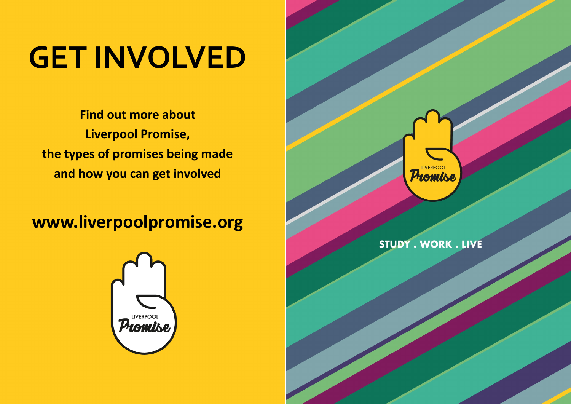# **GET INVOLVED**

**Find out more about Liverpool Promise, the types of promises being made and how you can get involved** 

## **www.liverpoolpromise.org**





## **STUDY . WORK . LIVE**